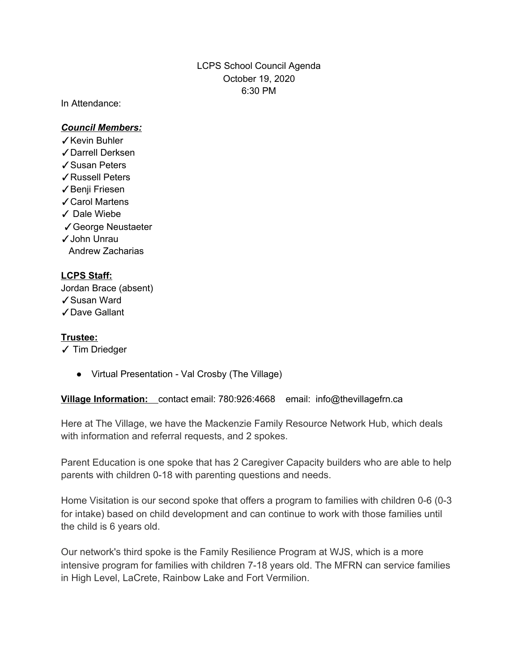# LCPS School Council Agenda October 19, 2020 6:30 PM

In Attendance:

### *Council Members:*

- ✓Kevin Buhler
- ✓Darrell Derksen
- ✓Susan Peters
- ✓Russell Peters
- ✓Benji Friesen
- ✓Carol Martens
- ✓ Dale Wiebe
- ✓George Neustaeter
- ✓John Unrau
- Andrew Zacharias

# **LCPS Staff:**

Jordan Brace (absent) ✓Susan Ward ✓Dave Gallant

### **Trustee:**

- ✓ Tim Driedger
	- Virtual Presentation Val Crosby (The Village)

**Village Information:** contact email: 780:926:4668 email: info@thevillagefrn.ca

Here at The Village, we have the Mackenzie Family Resource Network Hub, which deals with information and referral requests, and 2 spokes.

Parent Education is one spoke that has 2 Caregiver Capacity builders who are able to help parents with children 0-18 with parenting questions and needs.

Home Visitation is our second spoke that offers a program to families with children 0-6 (0-3 for intake) based on child development and can continue to work with those families until the child is 6 years old.

Our network's third spoke is the Family Resilience Program at WJS, which is a more intensive program for families with children 7-18 years old. The MFRN can service families in High Level, LaCrete, Rainbow Lake and Fort Vermilion.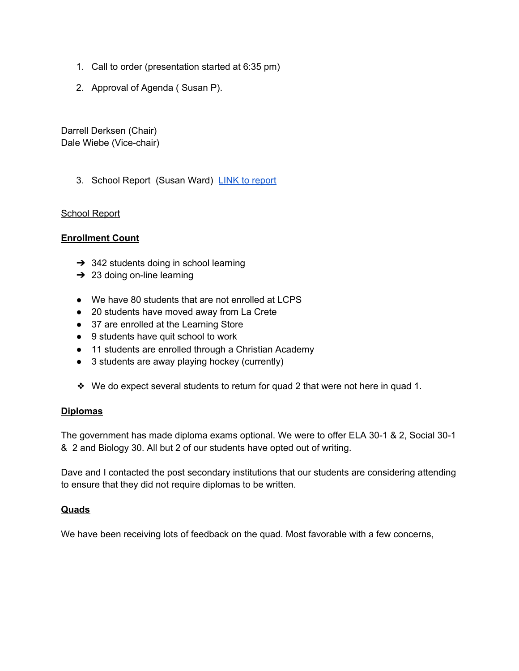- 1. Call to order (presentation started at 6:35 pm)
- 2. Approval of Agenda ( Susan P).

Darrell Derksen (Chair) Dale Wiebe (Vice-chair)

3. School Report (Susan Ward) LINK to [report](https://docs.google.com/document/d/1SdplPIf442GZAOvO6Y5AbOyDH6LoJvmle548kT0tEp4/edit?usp=sharing)

### School Report

### **Enrollment Count**

- $\rightarrow$  342 students doing in school learning
- $\rightarrow$  23 doing on-line learning
- We have 80 students that are not enrolled at LCPS
- 20 students have moved away from La Crete
- 37 are enrolled at the Learning Store
- 9 students have quit school to work
- 11 students are enrolled through a Christian Academy
- 3 students are away playing hockey (currently)
- ❖ We do expect several students to return for quad 2 that were not here in quad 1.

#### **Diplomas**

The government has made diploma exams optional. We were to offer ELA 30-1 & 2, Social 30-1 & 2 and Biology 30. All but 2 of our students have opted out of writing.

Dave and I contacted the post secondary institutions that our students are considering attending to ensure that they did not require diplomas to be written.

#### **Quads**

We have been receiving lots of feedback on the quad. Most favorable with a few concerns,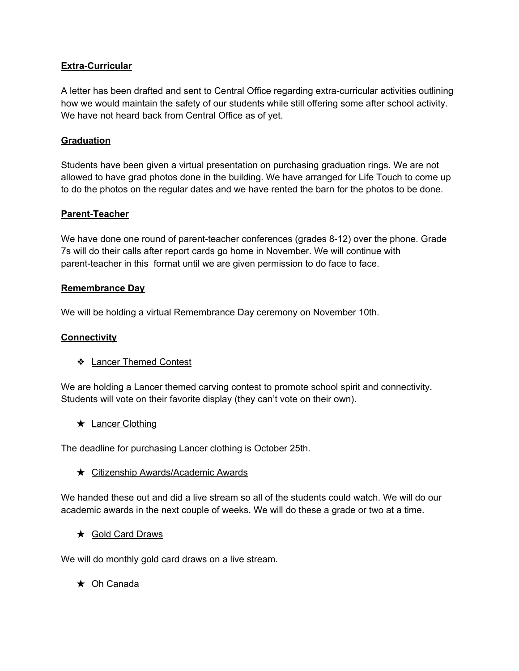## **Extra-Curricular**

A letter has been drafted and sent to Central Office regarding extra-curricular activities outlining how we would maintain the safety of our students while still offering some after school activity. We have not heard back from Central Office as of yet.

### **Graduation**

Students have been given a virtual presentation on purchasing graduation rings. We are not allowed to have grad photos done in the building. We have arranged for Life Touch to come up to do the photos on the regular dates and we have rented the barn for the photos to be done.

### **Parent-Teacher**

We have done one round of parent-teacher conferences (grades 8-12) over the phone. Grade 7s will do their calls after report cards go home in November. We will continue with parent-teacher in this format until we are given permission to do face to face.

### **Remembrance Day**

We will be holding a virtual Remembrance Day ceremony on November 10th.

### **Connectivity**

❖ Lancer Themed Contest

We are holding a Lancer themed carving contest to promote school spirit and connectivity. Students will vote on their favorite display (they can't vote on their own).

★ Lancer Clothing

The deadline for purchasing Lancer clothing is October 25th.

★ Citizenship Awards/Academic Awards

We handed these out and did a live stream so all of the students could watch. We will do our academic awards in the next couple of weeks. We will do these a grade or two at a time.

★ Gold Card Draws

We will do monthly gold card draws on a live stream.

★ Oh Canada